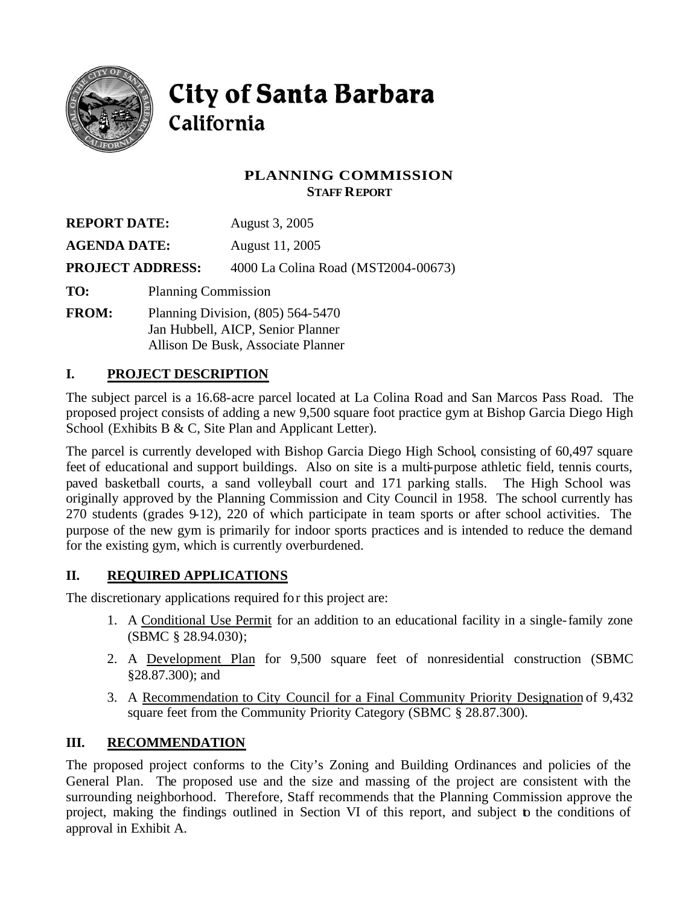

# City of Santa Barbara California

# **PLANNING COMMISSION STAFF REPORT**

| <b>REPORT DATE:</b>     |                            | August 3, 2005                      |
|-------------------------|----------------------------|-------------------------------------|
| <b>AGENDA DATE:</b>     |                            | August 11, 2005                     |
| <b>PROJECT ADDRESS:</b> |                            | 4000 La Colina Road (MST2004-00673) |
| TO:                     | <b>Planning Commission</b> |                                     |
| FROM <sup>1</sup>       |                            | Planning Division $(805)$ 564-5470  |

**FROM:** Planning Division, (805) 564-5470 Jan Hubbell, AICP, Senior Planner Allison De Busk, Associate Planner

# **I. PROJECT DESCRIPTION**

The subject parcel is a 16.68-acre parcel located at La Colina Road and San Marcos Pass Road. The proposed project consists of adding a new 9,500 square foot practice gym at Bishop Garcia Diego High School (Exhibits B & C, Site Plan and Applicant Letter).

The parcel is currently developed with Bishop Garcia Diego High School, consisting of 60,497 square feet of educational and support buildings. Also on site is a multi-purpose athletic field, tennis courts, paved basketball courts, a sand volleyball court and 171 parking stalls. The High School was originally approved by the Planning Commission and City Council in 1958. The school currently has 270 students (grades 9-12), 220 of which participate in team sports or after school activities. The purpose of the new gym is primarily for indoor sports practices and is intended to reduce the demand for the existing gym, which is currently overburdened.

# **II. REQUIRED APPLICATIONS**

The discretionary applications required for this project are:

- 1. A Conditional Use Permit for an addition to an educational facility in a single-family zone (SBMC § 28.94.030);
- 2. A Development Plan for 9,500 square feet of nonresidential construction (SBMC §28.87.300); and
- 3. A Recommendation to City Council for a Final Community Priority Designation of 9,432 square feet from the Community Priority Category (SBMC § 28.87.300).

# **III. RECOMMENDATION**

The proposed project conforms to the City's Zoning and Building Ordinances and policies of the General Plan. The proposed use and the size and massing of the project are consistent with the surrounding neighborhood. Therefore, Staff recommends that the Planning Commission approve the project, making the findings outlined in Section VI of this report, and subject to the conditions of approval in Exhibit A.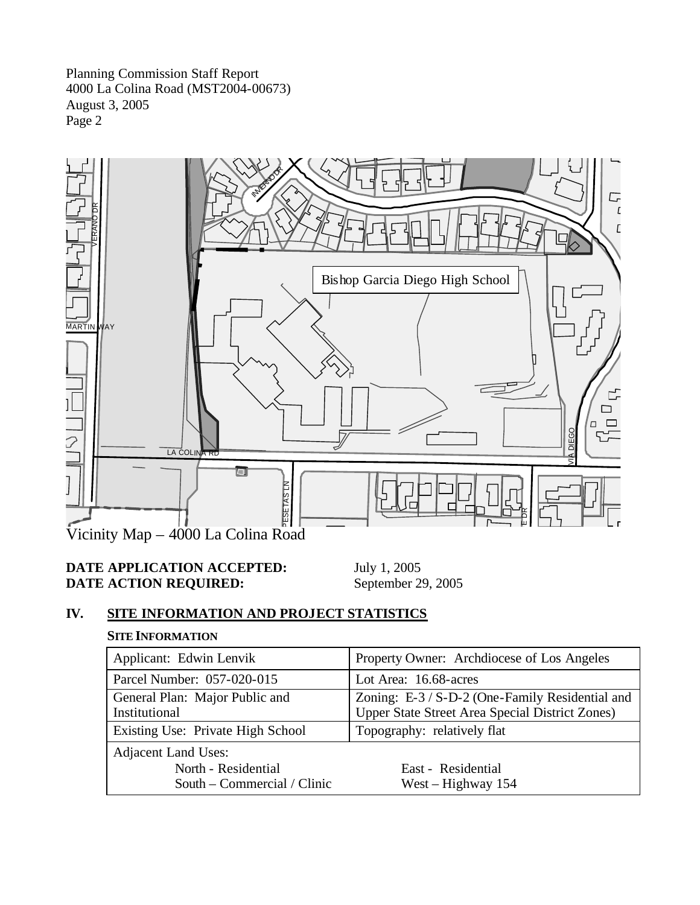

# **DATE APPLICATION ACCEPTED:** July 1, 2005<br> **DATE ACTION REQUIRED:** September 29, 2005 **DATE ACTION REQUIRED:**

# **IV. SITE INFORMATION AND PROJECT STATISTICS**

# **SITE INFORMATION**

| Applicant: Edwin Lenvik                                                          | Property Owner: Archdiocese of Los Angeles                                                         |  |
|----------------------------------------------------------------------------------|----------------------------------------------------------------------------------------------------|--|
| Parcel Number: 057-020-015                                                       | Lot Area: 16.68-acres                                                                              |  |
| General Plan: Major Public and<br>Institutional                                  | Zoning: E-3 / S-D-2 (One-Family Residential and<br>Upper State Street Area Special District Zones) |  |
| Existing Use: Private High School                                                | Topography: relatively flat                                                                        |  |
| <b>Adjacent Land Uses:</b><br>North - Residential<br>South – Commercial / Clinic | East - Residential<br>West – Highway $154$                                                         |  |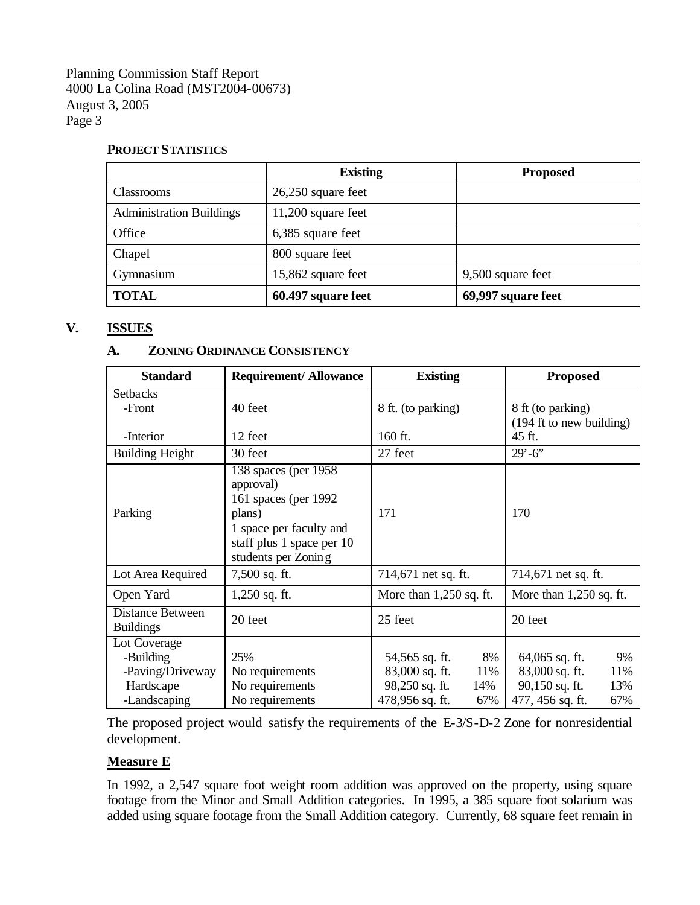#### **PROJECT STATISTICS**

|                                 | <b>Existing</b>      | <b>Proposed</b>    |
|---------------------------------|----------------------|--------------------|
| <b>Classrooms</b>               | $26,250$ square feet |                    |
| <b>Administration Buildings</b> | $11,200$ square feet |                    |
| Office                          | 6,385 square feet    |                    |
| Chapel                          | 800 square feet      |                    |
| Gymnasium                       | 15,862 square feet   | 9,500 square feet  |
| <b>TOTAL</b>                    | 60.497 square feet   | 69,997 square feet |

### **V. ISSUES**

#### **A. ZONING ORDINANCE CONSISTENCY**

| <b>Standard</b>                               | <b>Requirement/Allowance</b>                                                                                                                         | <b>Existing</b>                               | <b>Proposed</b>                               |
|-----------------------------------------------|------------------------------------------------------------------------------------------------------------------------------------------------------|-----------------------------------------------|-----------------------------------------------|
| <b>Setbacks</b><br>-Front                     | 40 feet                                                                                                                                              | 8 ft. (to parking)                            | 8 ft (to parking)<br>(194 ft to new building) |
| -Interior                                     | 12 feet                                                                                                                                              | 160 ft.                                       | 45 ft.                                        |
| <b>Building Height</b>                        | 30 feet                                                                                                                                              | 27 feet                                       | $29' - 6'$                                    |
| Parking                                       | 138 spaces (per 1958)<br>approval)<br>161 spaces (per 1992)<br>plans)<br>1 space per faculty and<br>staff plus 1 space per 10<br>students per Zoning | 171                                           | 170                                           |
| Lot Area Required                             | 7,500 sq. ft.                                                                                                                                        | 714,671 net sq. ft.                           | 714,671 net sq. ft.                           |
| Open Yard                                     | $1,250$ sq. ft.                                                                                                                                      | More than $1,250$ sq. ft.                     | More than $1,250$ sq. ft.                     |
| <b>Distance Between</b><br><b>Buildings</b>   | 20 feet                                                                                                                                              | 25 feet                                       | 20 feet                                       |
| Lot Coverage<br>-Building<br>-Paving/Driveway | 25%<br>No requirements                                                                                                                               | 54,565 sq. ft.<br>8%<br>83,000 sq. ft.<br>11% | 64,065 sq. ft.<br>9%<br>83,000 sq. ft.<br>11% |
| Hardscape                                     | No requirements                                                                                                                                      | 98,250 sq. ft.<br>14%                         | 90,150 sq. ft.<br>13%                         |
| -Landscaping                                  | No requirements                                                                                                                                      | 478,956 sq. ft.<br>67%                        | 477, 456 sq. ft.<br>67%                       |

The proposed project would satisfy the requirements of the E-3/S-D-2 Zone for nonresidential development.

#### **Measure E**

In 1992, a 2,547 square foot weight room addition was approved on the property, using square footage from the Minor and Small Addition categories. In 1995, a 385 square foot solarium was added using square footage from the Small Addition category. Currently, 68 square feet remain in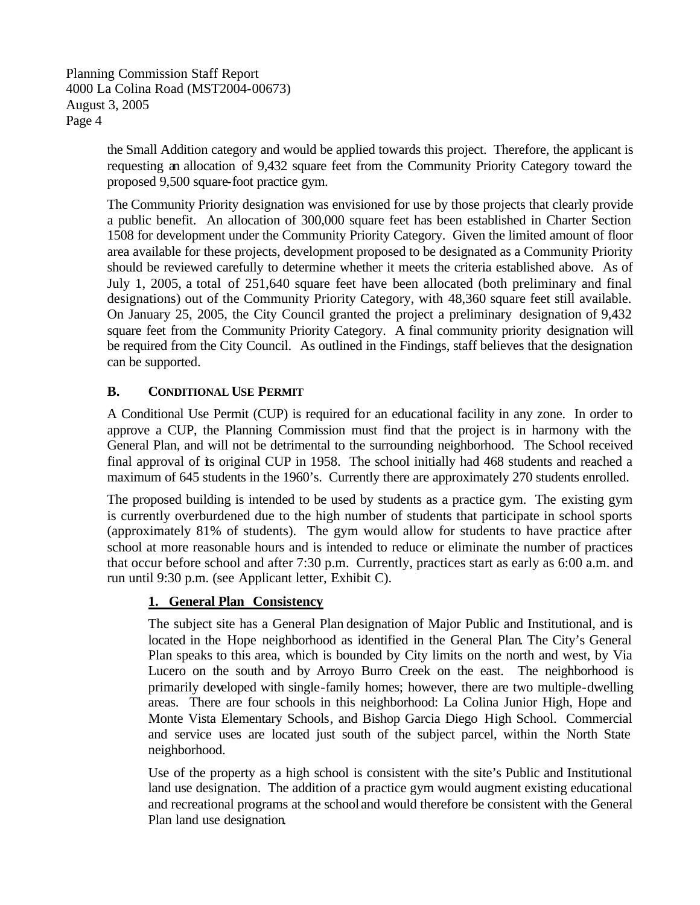> the Small Addition category and would be applied towards this project. Therefore, the applicant is requesting an allocation of 9,432 square feet from the Community Priority Category toward the proposed 9,500 square-foot practice gym.

> The Community Priority designation was envisioned for use by those projects that clearly provide a public benefit. An allocation of 300,000 square feet has been established in Charter Section 1508 for development under the Community Priority Category. Given the limited amount of floor area available for these projects, development proposed to be designated as a Community Priority should be reviewed carefully to determine whether it meets the criteria established above. As of July 1, 2005, a total of 251,640 square feet have been allocated (both preliminary and final designations) out of the Community Priority Category, with 48,360 square feet still available. On January 25, 2005, the City Council granted the project a preliminary designation of 9,432 square feet from the Community Priority Category. A final community priority designation will be required from the City Council. As outlined in the Findings, staff believes that the designation can be supported.

# **B. CONDITIONAL USE PERMIT**

A Conditional Use Permit (CUP) is required for an educational facility in any zone. In order to approve a CUP, the Planning Commission must find that the project is in harmony with the General Plan, and will not be detrimental to the surrounding neighborhood. The School received final approval of its original CUP in 1958. The school initially had 468 students and reached a maximum of 645 students in the 1960's. Currently there are approximately 270 students enrolled.

The proposed building is intended to be used by students as a practice gym. The existing gym is currently overburdened due to the high number of students that participate in school sports (approximately 81% of students). The gym would allow for students to have practice after school at more reasonable hours and is intended to reduce or eliminate the number of practices that occur before school and after 7:30 p.m. Currently, practices start as early as 6:00 a.m. and run until 9:30 p.m. (see Applicant letter, Exhibit C).

# **1. General Plan Consistency**

The subject site has a General Plan designation of Major Public and Institutional, and is located in the Hope neighborhood as identified in the General Plan. The City's General Plan speaks to this area, which is bounded by City limits on the north and west, by Via Lucero on the south and by Arroyo Burro Creek on the east. The neighborhood is primarily developed with single-family homes; however, there are two multiple-dwelling areas. There are four schools in this neighborhood: La Colina Junior High, Hope and Monte Vista Elementary Schools, and Bishop Garcia Diego High School. Commercial and service uses are located just south of the subject parcel, within the North State neighborhood.

Use of the property as a high school is consistent with the site's Public and Institutional land use designation. The addition of a practice gym would augment existing educational and recreational programs at the school and would therefore be consistent with the General Plan land use designation.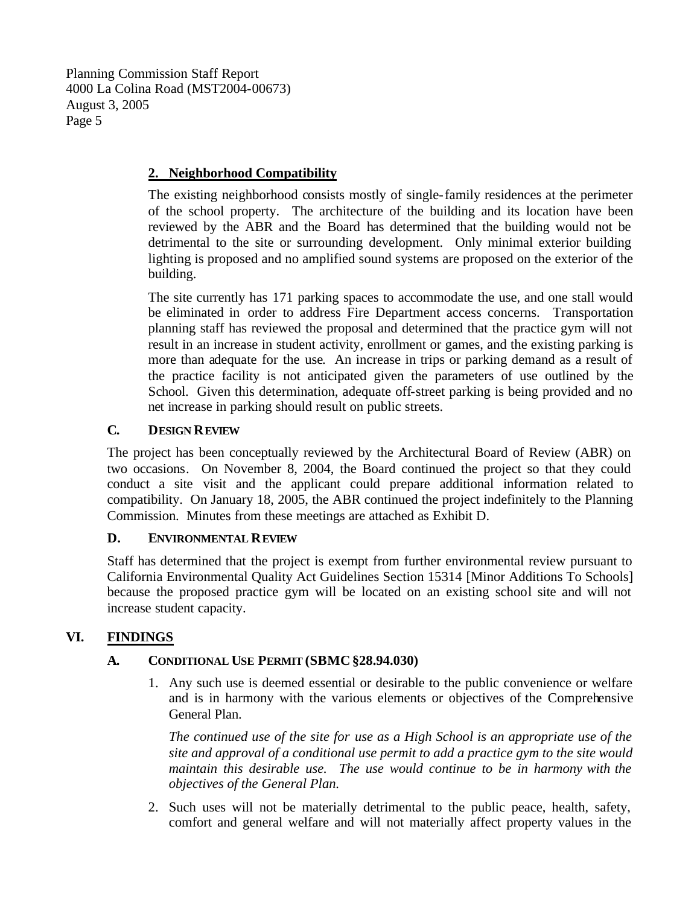# **2. Neighborhood Compatibility**

The existing neighborhood consists mostly of single-family residences at the perimeter of the school property. The architecture of the building and its location have been reviewed by the ABR and the Board has determined that the building would not be detrimental to the site or surrounding development. Only minimal exterior building lighting is proposed and no amplified sound systems are proposed on the exterior of the building.

The site currently has 171 parking spaces to accommodate the use, and one stall would be eliminated in order to address Fire Department access concerns. Transportation planning staff has reviewed the proposal and determined that the practice gym will not result in an increase in student activity, enrollment or games, and the existing parking is more than adequate for the use. An increase in trips or parking demand as a result of the practice facility is not anticipated given the parameters of use outlined by the School. Given this determination, adequate off-street parking is being provided and no net increase in parking should result on public streets.

# **C. DESIGN REVIEW**

The project has been conceptually reviewed by the Architectural Board of Review (ABR) on two occasions. On November 8, 2004, the Board continued the project so that they could conduct a site visit and the applicant could prepare additional information related to compatibility. On January 18, 2005, the ABR continued the project indefinitely to the Planning Commission. Minutes from these meetings are attached as Exhibit D.

# **D. ENVIRONMENTAL REVIEW**

Staff has determined that the project is exempt from further environmental review pursuant to California Environmental Quality Act Guidelines Section 15314 [Minor Additions To Schools] because the proposed practice gym will be located on an existing school site and will not increase student capacity.

# **VI. FINDINGS**

# **A. CONDITIONAL USE PERMIT (SBMC§28.94.030)**

1. Any such use is deemed essential or desirable to the public convenience or welfare and is in harmony with the various elements or objectives of the Comprehensive General Plan.

*The continued use of the site for use as a High School is an appropriate use of the site and approval of a conditional use permit to add a practice gym to the site would maintain this desirable use. The use would continue to be in harmony with the objectives of the General Plan.*

2. Such uses will not be materially detrimental to the public peace, health, safety, comfort and general welfare and will not materially affect property values in the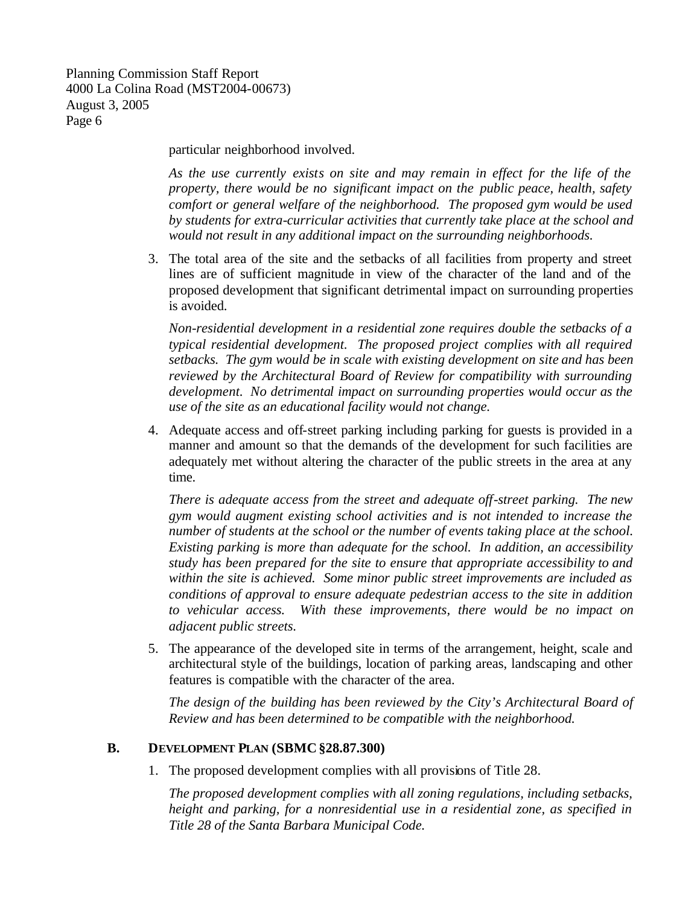particular neighborhood involved.

*As the use currently exists on site and may remain in effect for the life of the property, there would be no significant impact on the public peace, health, safety comfort or general welfare of the neighborhood. The proposed gym would be used by students for extra-curricular activities that currently take place at the school and would not result in any additional impact on the surrounding neighborhoods.*

3. The total area of the site and the setbacks of all facilities from property and street lines are of sufficient magnitude in view of the character of the land and of the proposed development that significant detrimental impact on surrounding properties is avoided.

*Non-residential development in a residential zone requires double the setbacks of a typical residential development. The proposed project complies with all required setbacks. The gym would be in scale with existing development on site and has been reviewed by the Architectural Board of Review for compatibility with surrounding development. No detrimental impact on surrounding properties would occur as the use of the site as an educational facility would not change.*

4. Adequate access and off-street parking including parking for guests is provided in a manner and amount so that the demands of the development for such facilities are adequately met without altering the character of the public streets in the area at any time.

*There is adequate access from the street and adequate off-street parking. The new gym would augment existing school activities and is not intended to increase the number of students at the school or the number of events taking place at the school. Existing parking is more than adequate for the school. In addition, an accessibility study has been prepared for the site to ensure that appropriate accessibility to and within the site is achieved. Some minor public street improvements are included as conditions of approval to ensure adequate pedestrian access to the site in addition to vehicular access. With these improvements, there would be no impact on adjacent public streets.* 

5. The appearance of the developed site in terms of the arrangement, height, scale and architectural style of the buildings, location of parking areas, landscaping and other features is compatible with the character of the area.

*The design of the building has been reviewed by the City's Architectural Board of Review and has been determined to be compatible with the neighborhood.*

#### **B. DEVELOPMENT PLAN (SBMC§28.87.300)**

1. The proposed development complies with all provisions of Title 28.

*The proposed development complies with all zoning regulations, including setbacks, height and parking, for a nonresidential use in a residential zone, as specified in Title 28 of the Santa Barbara Municipal Code.*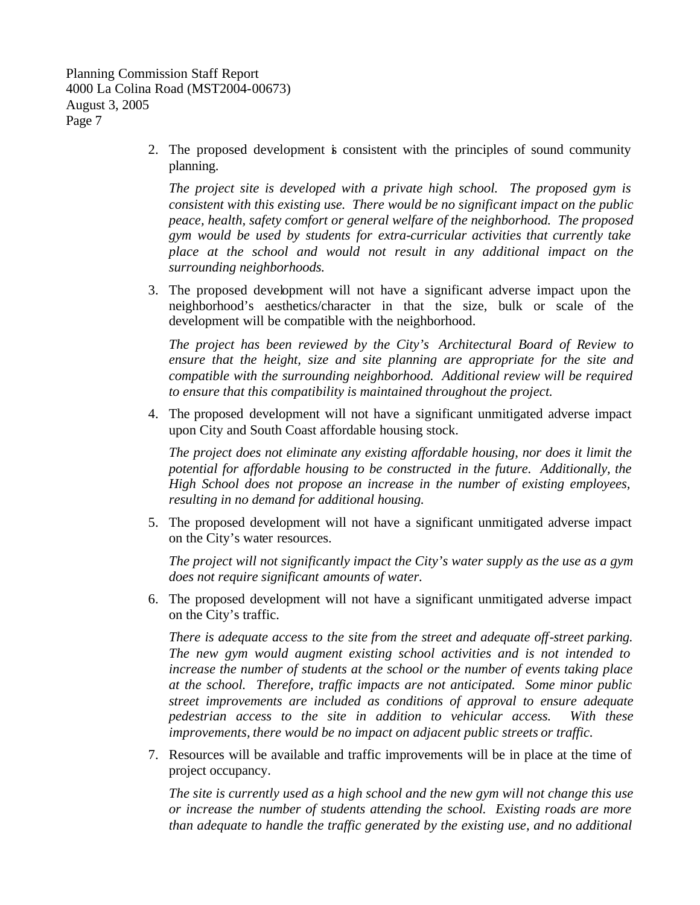> 2. The proposed development is consistent with the principles of sound community planning.

*The project site is developed with a private high school. The proposed gym is consistent with this existing use. There would be no significant impact on the public peace, health, safety comfort or general welfare of the neighborhood. The proposed gym would be used by students for extra-curricular activities that currently take place at the school and would not result in any additional impact on the surrounding neighborhoods.*

3. The proposed development will not have a significant adverse impact upon the neighborhood's aesthetics/character in that the size, bulk or scale of the development will be compatible with the neighborhood.

*The project has been reviewed by the City's Architectural Board of Review to ensure that the height, size and site planning are appropriate for the site and compatible with the surrounding neighborhood. Additional review will be required to ensure that this compatibility is maintained throughout the project.*

4. The proposed development will not have a significant unmitigated adverse impact upon City and South Coast affordable housing stock.

*The project does not eliminate any existing affordable housing, nor does it limit the potential for affordable housing to be constructed in the future. Additionally, the High School does not propose an increase in the number of existing employees, resulting in no demand for additional housing.*

5. The proposed development will not have a significant unmitigated adverse impact on the City's water resources.

*The project will not significantly impact the City's water supply as the use as a gym does not require significant amounts of water.* 

6. The proposed development will not have a significant unmitigated adverse impact on the City's traffic.

*There is adequate access to the site from the street and adequate off-street parking. The new gym would augment existing school activities and is not intended to increase the number of students at the school or the number of events taking place at the school. Therefore, traffic impacts are not anticipated. Some minor public street improvements are included as conditions of approval to ensure adequate pedestrian access to the site in addition to vehicular access. With these improvements, there would be no impact on adjacent public streets or traffic.* 

7. Resources will be available and traffic improvements will be in place at the time of project occupancy.

*The site is currently used as a high school and the new gym will not change this use or increase the number of students attending the school. Existing roads are more than adequate to handle the traffic generated by the existing use, and no additional*